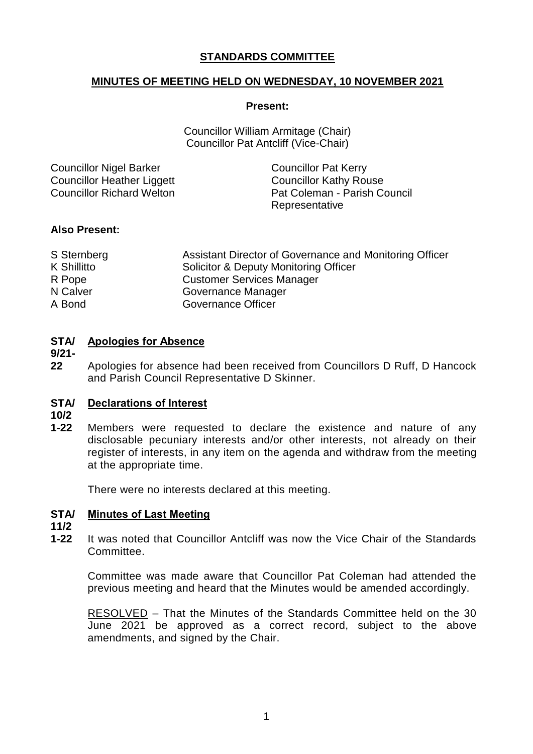# **STANDARDS COMMITTEE**

# **MINUTES OF MEETING HELD ON WEDNESDAY, 10 NOVEMBER 2021**

### **Present:**

Councillor William Armitage (Chair) Councillor Pat Antcliff (Vice-Chair)

| <b>Councillor Nigel Barker</b> | <b>Councillor Pat Kerry</b>   |
|--------------------------------|-------------------------------|
| Councillor Heather Liggett     | <b>Councillor Kathy Rouse</b> |
| Councillor Richard Welton      | Pat Coleman - Parish Council  |
|                                | Representative                |

# **Also Present:**

| S Sternberg | Assistant Director of Governance and Monitoring Officer |
|-------------|---------------------------------------------------------|
| K Shillitto | Solicitor & Deputy Monitoring Officer                   |
| R Pope      | <b>Customer Services Manager</b>                        |
| N Calver    | Governance Manager                                      |
| A Bond      | Governance Officer                                      |

## **STA/ Apologies for Absence**

**9/21-**

**22** Apologies for absence had been received from Councillors D Ruff, D Hancock and Parish Council Representative D Skinner.

#### **STA/ Declarations of Interest**

- **10/2**
- **1-22** Members were requested to declare the existence and nature of any disclosable pecuniary interests and/or other interests, not already on their register of interests, in any item on the agenda and withdraw from the meeting at the appropriate time.

There were no interests declared at this meeting.

#### **STA/ Minutes of Last Meeting**

**11/2**

**1-22** It was noted that Councillor Antcliff was now the Vice Chair of the Standards Committee.

Committee was made aware that Councillor Pat Coleman had attended the previous meeting and heard that the Minutes would be amended accordingly.

RESOLVED – That the Minutes of the Standards Committee held on the 30 June 2021 be approved as a correct record, subject to the above amendments, and signed by the Chair.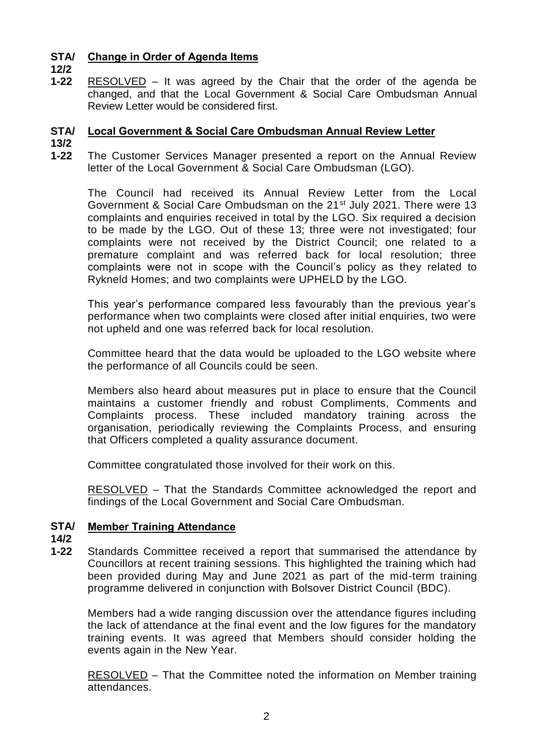#### **STA/ Change in Order of Agenda Items**

**12/2**

**1-22** RESOLVED – It was agreed by the Chair that the order of the agenda be changed, and that the Local Government & Social Care Ombudsman Annual Review Letter would be considered first.

# **STA/ Local Government & Social Care Ombudsman Annual Review Letter**

- **13/2**
- **1-22** The Customer Services Manager presented a report on the Annual Review letter of the Local Government & Social Care Ombudsman (LGO).

The Council had received its Annual Review Letter from the Local Government & Social Care Ombudsman on the 21st July 2021. There were 13 complaints and enquiries received in total by the LGO. Six required a decision to be made by the LGO. Out of these 13; three were not investigated; four complaints were not received by the District Council; one related to a premature complaint and was referred back for local resolution; three complaints were not in scope with the Council's policy as they related to Rykneld Homes; and two complaints were UPHELD by the LGO.

This year's performance compared less favourably than the previous year's performance when two complaints were closed after initial enquiries, two were not upheld and one was referred back for local resolution.

Committee heard that the data would be uploaded to the LGO website where the performance of all Councils could be seen.

Members also heard about measures put in place to ensure that the Council maintains a customer friendly and robust Compliments, Comments and Complaints process. These included mandatory training across the organisation, periodically reviewing the Complaints Process, and ensuring that Officers completed a quality assurance document.

Committee congratulated those involved for their work on this.

RESOLVED – That the Standards Committee acknowledged the report and findings of the Local Government and Social Care Ombudsman.

#### **STA/ Member Training Attendance**

- **14/2**
- **1-22** Standards Committee received a report that summarised the attendance by Councillors at recent training sessions. This highlighted the training which had been provided during May and June 2021 as part of the mid-term training programme delivered in conjunction with Bolsover District Council (BDC).

Members had a wide ranging discussion over the attendance figures including the lack of attendance at the final event and the low figures for the mandatory training events. It was agreed that Members should consider holding the events again in the New Year.

RESOLVED – That the Committee noted the information on Member training attendances.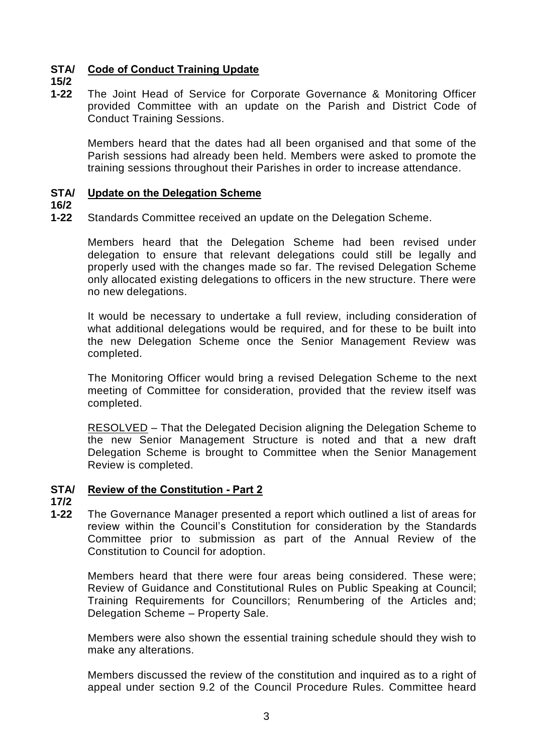# **STA/ Code of Conduct Training Update**

**15/2**

**1-22** The Joint Head of Service for Corporate Governance & Monitoring Officer provided Committee with an update on the Parish and District Code of Conduct Training Sessions.

Members heard that the dates had all been organised and that some of the Parish sessions had already been held. Members were asked to promote the training sessions throughout their Parishes in order to increase attendance.

#### **STA/ Update on the Delegation Scheme**

**16/2**

**1-22** Standards Committee received an update on the Delegation Scheme.

Members heard that the Delegation Scheme had been revised under delegation to ensure that relevant delegations could still be legally and properly used with the changes made so far. The revised Delegation Scheme only allocated existing delegations to officers in the new structure. There were no new delegations.

It would be necessary to undertake a full review, including consideration of what additional delegations would be required, and for these to be built into the new Delegation Scheme once the Senior Management Review was completed.

The Monitoring Officer would bring a revised Delegation Scheme to the next meeting of Committee for consideration, provided that the review itself was completed.

RESOLVED – That the Delegated Decision aligning the Delegation Scheme to the new Senior Management Structure is noted and that a new draft Delegation Scheme is brought to Committee when the Senior Management Review is completed.

# **STA/ Review of the Constitution - Part 2**

**17/2**

**1-22** The Governance Manager presented a report which outlined a list of areas for review within the Council's Constitution for consideration by the Standards Committee prior to submission as part of the Annual Review of the Constitution to Council for adoption.

Members heard that there were four areas being considered. These were; Review of Guidance and Constitutional Rules on Public Speaking at Council; Training Requirements for Councillors; Renumbering of the Articles and; Delegation Scheme – Property Sale.

Members were also shown the essential training schedule should they wish to make any alterations.

Members discussed the review of the constitution and inquired as to a right of appeal under section 9.2 of the Council Procedure Rules. Committee heard